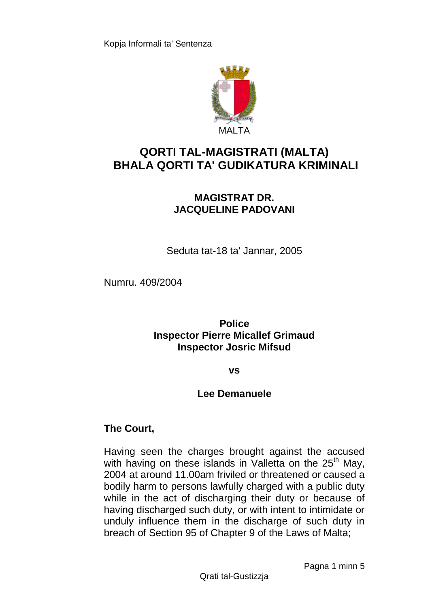

# **QORTI TAL-MAGISTRATI (MALTA) BHALA QORTI TA' GUDIKATURA KRIMINALI**

# **MAGISTRAT DR. JACQUELINE PADOVANI**

Seduta tat-18 ta' Jannar, 2005

Numru. 409/2004

**Police Inspector Pierre Micallef Grimaud Inspector Josric Mifsud**

#### **vs**

### **Lee Demanuele**

## **The Court,**

Having seen the charges brought against the accused with having on these islands in Valletta on the  $25<sup>th</sup>$  May, 2004 at around 11.00am friviled or threatened or caused a bodily harm to persons lawfully charged with a public duty while in the act of discharging their duty or because of having discharged such duty, or with intent to intimidate or unduly influence them in the discharge of such duty in breach of Section 95 of Chapter 9 of the Laws of Malta;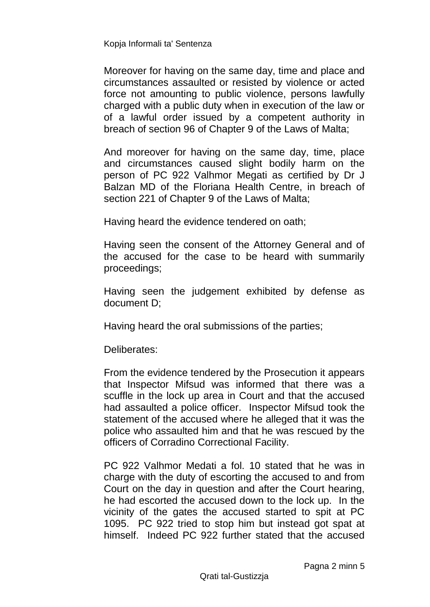Moreover for having on the same day, time and place and circumstances assaulted or resisted by violence or acted force not amounting to public violence, persons lawfully charged with a public duty when in execution of the law or of a lawful order issued by a competent authority in breach of section 96 of Chapter 9 of the Laws of Malta;

And moreover for having on the same day, time, place and circumstances caused slight bodily harm on the person of PC 922 Valhmor Megati as certified by Dr J Balzan MD of the Floriana Health Centre, in breach of section 221 of Chapter 9 of the Laws of Malta;

Having heard the evidence tendered on oath;

Having seen the consent of the Attorney General and of the accused for the case to be heard with summarily proceedings;

Having seen the judgement exhibited by defense as document D;

Having heard the oral submissions of the parties;

Deliberates:

From the evidence tendered by the Prosecution it appears that Inspector Mifsud was informed that there was a scuffle in the lock up area in Court and that the accused had assaulted a police officer. Inspector Mifsud took the statement of the accused where he alleged that it was the police who assaulted him and that he was rescued by the officers of Corradino Correctional Facility.

PC 922 Valhmor Medati a fol. 10 stated that he was in charge with the duty of escorting the accused to and from Court on the day in question and after the Court hearing, he had escorted the accused down to the lock up. In the vicinity of the gates the accused started to spit at PC 1095. PC 922 tried to stop him but instead got spat at himself. Indeed PC 922 further stated that the accused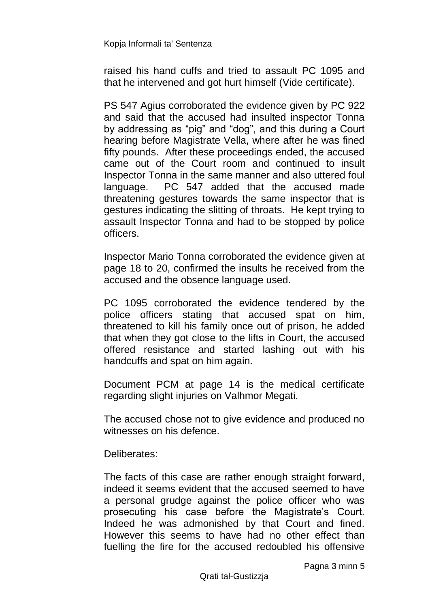raised his hand cuffs and tried to assault PC 1095 and that he intervened and got hurt himself (Vide certificate).

PS 547 Agius corroborated the evidence given by PC 922 and said that the accused had insulted inspector Tonna by addressing as "pig" and "dog", and this during a Court hearing before Magistrate Vella, where after he was fined fifty pounds. After these proceedings ended, the accused came out of the Court room and continued to insult Inspector Tonna in the same manner and also uttered foul language. PC 547 added that the accused made threatening gestures towards the same inspector that is gestures indicating the slitting of throats. He kept trying to assault Inspector Tonna and had to be stopped by police officers.

Inspector Mario Tonna corroborated the evidence given at page 18 to 20, confirmed the insults he received from the accused and the obsence language used.

PC 1095 corroborated the evidence tendered by the police officers stating that accused spat on him, threatened to kill his family once out of prison, he added that when they got close to the lifts in Court, the accused offered resistance and started lashing out with his handcuffs and spat on him again.

Document PCM at page 14 is the medical certificate regarding slight injuries on Valhmor Megati.

The accused chose not to give evidence and produced no witnesses on his defence.

Deliberates:

The facts of this case are rather enough straight forward, indeed it seems evident that the accused seemed to have a personal grudge against the police officer who was prosecuting his case before the Magistrate's Court. Indeed he was admonished by that Court and fined. However this seems to have had no other effect than fuelling the fire for the accused redoubled his offensive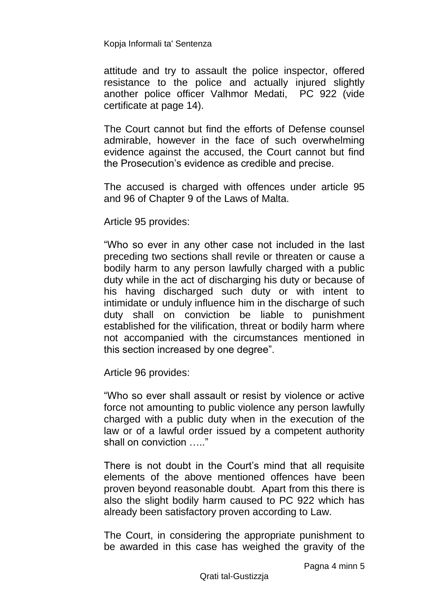attitude and try to assault the police inspector, offered resistance to the police and actually injured slightly another police officer Valhmor Medati, PC 922 (vide certificate at page 14).

The Court cannot but find the efforts of Defense counsel admirable, however in the face of such overwhelming evidence against the accused, the Court cannot but find the Prosecution's evidence as credible and precise.

The accused is charged with offences under article 95 and 96 of Chapter 9 of the Laws of Malta.

Article 95 provides:

"Who so ever in any other case not included in the last preceding two sections shall revile or threaten or cause a bodily harm to any person lawfully charged with a public duty while in the act of discharging his duty or because of his having discharged such duty or with intent to intimidate or unduly influence him in the discharge of such duty shall on conviction be liable to punishment established for the vilification, threat or bodily harm where not accompanied with the circumstances mentioned in this section increased by one degree".

Article 96 provides:

"Who so ever shall assault or resist by violence or active force not amounting to public violence any person lawfully charged with a public duty when in the execution of the law or of a lawful order issued by a competent authority shall on conviction ….."

There is not doubt in the Court's mind that all requisite elements of the above mentioned offences have been proven beyond reasonable doubt. Apart from this there is also the slight bodily harm caused to PC 922 which has already been satisfactory proven according to Law.

The Court, in considering the appropriate punishment to be awarded in this case has weighed the gravity of the